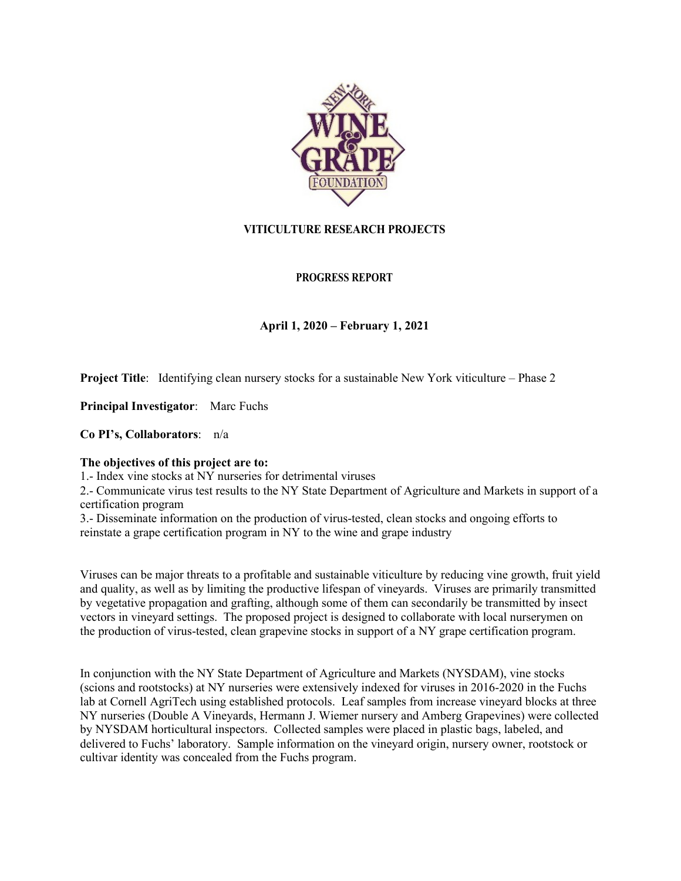

# **VITICULTURE RESEARCH PROJECTS**

## **PROGRESS REPORT**

## **April 1, 2020 – February 1, 2021**

**Project Title:** Identifying clean nursery stocks for a sustainable New York viticulture – Phase 2

**Principal Investigator**: Marc Fuchs

**Co PI's, Collaborators**: n/a

#### **The objectives of this project are to:**

1.- Index vine stocks at NY nurseries for detrimental viruses

2.- Communicate virus test results to the NY State Department of Agriculture and Markets in support of a certification program

3.- Disseminate information on the production of virus-tested, clean stocks and ongoing efforts to reinstate a grape certification program in NY to the wine and grape industry

Viruses can be major threats to a profitable and sustainable viticulture by reducing vine growth, fruit yield and quality, as well as by limiting the productive lifespan of vineyards. Viruses are primarily transmitted by vegetative propagation and grafting, although some of them can secondarily be transmitted by insect vectors in vineyard settings. The proposed project is designed to collaborate with local nurserymen on the production of virus-tested, clean grapevine stocks in support of a NY grape certification program.

In conjunction with the NY State Department of Agriculture and Markets (NYSDAM), vine stocks (scions and rootstocks) at NY nurseries were extensively indexed for viruses in 2016-2020 in the Fuchs lab at Cornell AgriTech using established protocols. Leaf samples from increase vineyard blocks at three NY nurseries (Double A Vineyards, Hermann J. Wiemer nursery and Amberg Grapevines) were collected by NYSDAM horticultural inspectors. Collected samples were placed in plastic bags, labeled, and delivered to Fuchs' laboratory. Sample information on the vineyard origin, nursery owner, rootstock or cultivar identity was concealed from the Fuchs program.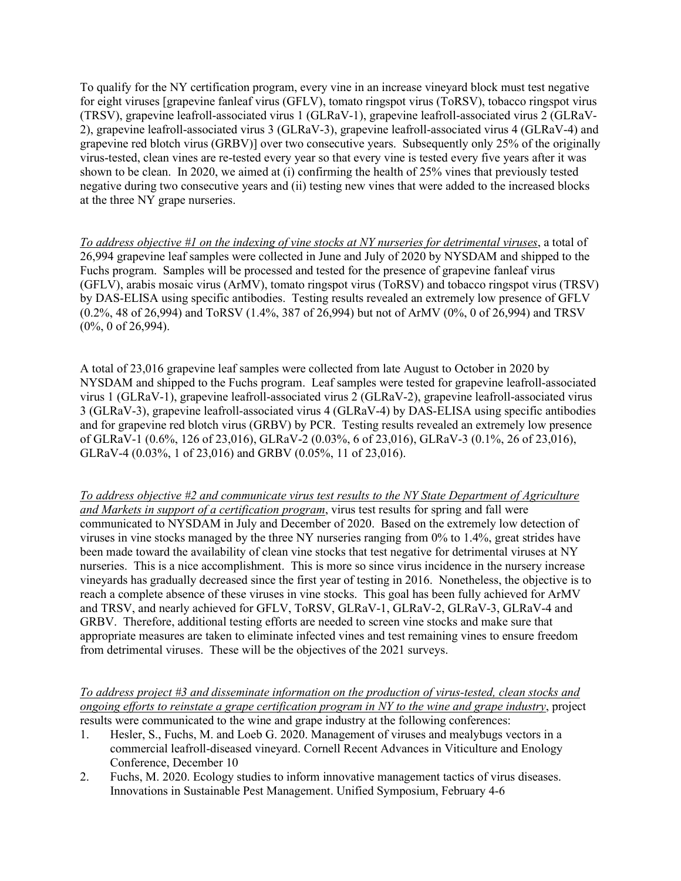To qualify for the NY certification program, every vine in an increase vineyard block must test negative for eight viruses [grapevine fanleaf virus (GFLV), tomato ringspot virus (ToRSV), tobacco ringspot virus (TRSV), grapevine leafroll-associated virus 1 (GLRaV-1), grapevine leafroll-associated virus 2 (GLRaV-2), grapevine leafroll-associated virus 3 (GLRaV-3), grapevine leafroll-associated virus 4 (GLRaV-4) and grapevine red blotch virus (GRBV)] over two consecutive years. Subsequently only 25% of the originally virus-tested, clean vines are re-tested every year so that every vine is tested every five years after it was shown to be clean. In 2020, we aimed at (i) confirming the health of 25% vines that previously tested negative during two consecutive years and (ii) testing new vines that were added to the increased blocks at the three NY grape nurseries.

*To address objective #1 on the indexing of vine stocks at NY nurseries for detrimental viruses*, a total of 26,994 grapevine leaf samples were collected in June and July of 2020 by NYSDAM and shipped to the Fuchs program. Samples will be processed and tested for the presence of grapevine fanleaf virus (GFLV), arabis mosaic virus (ArMV), tomato ringspot virus (ToRSV) and tobacco ringspot virus (TRSV) by DAS-ELISA using specific antibodies. Testing results revealed an extremely low presence of GFLV (0.2%, 48 of 26,994) and ToRSV (1.4%, 387 of 26,994) but not of ArMV (0%, 0 of 26,994) and TRSV (0%, 0 of 26,994).

A total of 23,016 grapevine leaf samples were collected from late August to October in 2020 by NYSDAM and shipped to the Fuchs program. Leaf samples were tested for grapevine leafroll-associated virus 1 (GLRaV-1), grapevine leafroll-associated virus 2 (GLRaV-2), grapevine leafroll-associated virus 3 (GLRaV-3), grapevine leafroll-associated virus 4 (GLRaV-4) by DAS-ELISA using specific antibodies and for grapevine red blotch virus (GRBV) by PCR. Testing results revealed an extremely low presence of GLRaV-1 (0.6%, 126 of 23,016), GLRaV-2 (0.03%, 6 of 23,016), GLRaV-3 (0.1%, 26 of 23,016), GLRaV-4 (0.03%, 1 of 23,016) and GRBV (0.05%, 11 of 23,016).

*To address objective #2 and communicate virus test results to the NY State Department of Agriculture and Markets in support of a certification program*, virus test results for spring and fall were communicated to NYSDAM in July and December of 2020. Based on the extremely low detection of viruses in vine stocks managed by the three NY nurseries ranging from 0% to 1.4%, great strides have been made toward the availability of clean vine stocks that test negative for detrimental viruses at NY nurseries. This is a nice accomplishment. This is more so since virus incidence in the nursery increase vineyards has gradually decreased since the first year of testing in 2016. Nonetheless, the objective is to reach a complete absence of these viruses in vine stocks. This goal has been fully achieved for ArMV and TRSV, and nearly achieved for GFLV, ToRSV, GLRaV-1, GLRaV-2, GLRaV-3, GLRaV-4 and GRBV. Therefore, additional testing efforts are needed to screen vine stocks and make sure that appropriate measures are taken to eliminate infected vines and test remaining vines to ensure freedom from detrimental viruses. These will be the objectives of the 2021 surveys.

*To address project #3 and disseminate information on the production of virus-tested, clean stocks and ongoing efforts to reinstate a grape certification program in NY to the wine and grape industry*, project results were communicated to the wine and grape industry at the following conferences:

- 1. Hesler, S., Fuchs, M. and Loeb G. 2020. Management of viruses and mealybugs vectors in a commercial leafroll-diseased vineyard. Cornell Recent Advances in Viticulture and Enology Conference, December 10
- 2. Fuchs, M. 2020. Ecology studies to inform innovative management tactics of virus diseases. Innovations in Sustainable Pest Management. Unified Symposium, February 4-6